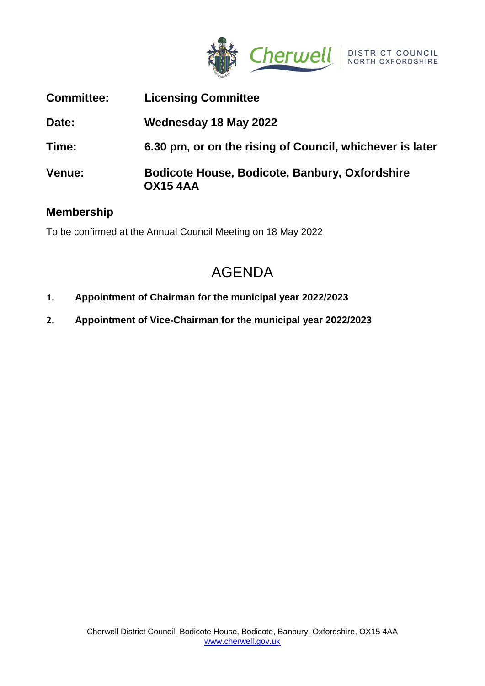

| <b>Committee:</b> | <b>Licensing Committee</b>                                        |
|-------------------|-------------------------------------------------------------------|
| Date:             | Wednesday 18 May 2022                                             |
| Time:             | 6.30 pm, or on the rising of Council, whichever is later          |
| <b>Venue:</b>     | Bodicote House, Bodicote, Banbury, Oxfordshire<br><b>OX15 4AA</b> |

## **Membership**

To be confirmed at the Annual Council Meeting on 18 May 2022

# AGENDA

- **1. Appointment of Chairman for the municipal year 2022/2023**
- **2. Appointment of Vice-Chairman for the municipal year 2022/2023**